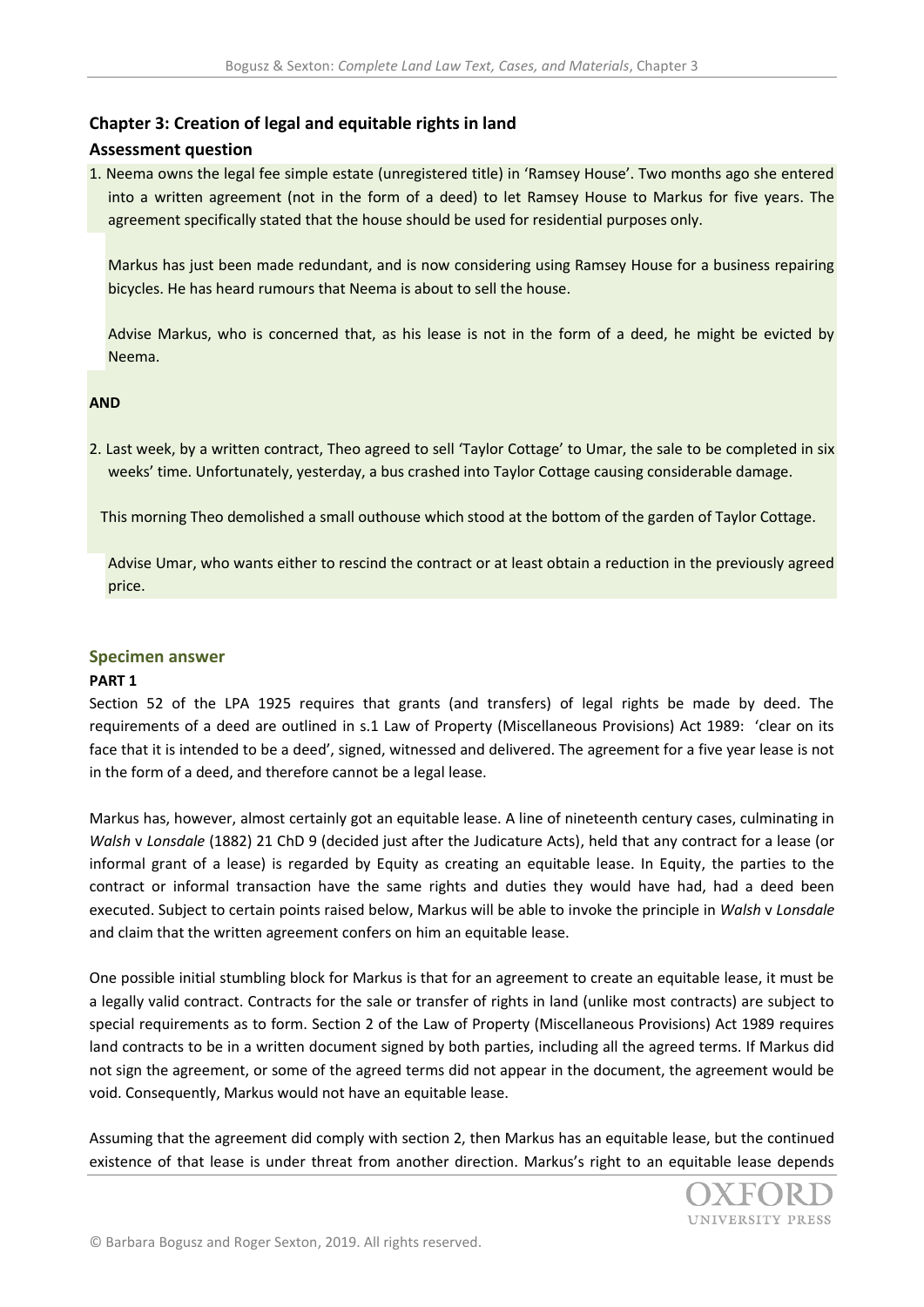# **Chapter 3: Creation of legal and equitable rights in land**

## **Assessment question**

1. Neema owns the legal fee simple estate (unregistered title) in 'Ramsey House'. Two months ago she entered into a written agreement (not in the form of a deed) to let Ramsey House to Markus for five years. The agreement specifically stated that the house should be used for residential purposes only.

Markus has just been made redundant, and is now considering using Ramsey House for a business repairing bicycles. He has heard rumours that Neema is about to sell the house.

Advise Markus, who is concerned that, as his lease is not in the form of a deed, he might be evicted by Neema.

#### **AND**

2. Last week, by a written contract, Theo agreed to sell 'Taylor Cottage' to Umar, the sale to be completed in six weeks' time. Unfortunately, yesterday, a bus crashed into Taylor Cottage causing considerable damage.

This morning Theo demolished a small outhouse which stood at the bottom of the garden of Taylor Cottage.

Advise Umar, who wants either to rescind the contract or at least obtain a reduction in the previously agreed price.

## **Specimen answer**

#### **PART 1**

Section 52 of the LPA 1925 requires that grants (and transfers) of legal rights be made by deed. The requirements of a deed are outlined in s.1 Law of Property (Miscellaneous Provisions) Act 1989: 'clear on its face that it is intended to be a deed', signed, witnessed and delivered. The agreement for a five year lease is not in the form of a deed, and therefore cannot be a legal lease.

Markus has, however, almost certainly got an equitable lease. A line of nineteenth century cases, culminating in *Walsh* v *Lonsdale* (1882) 21 ChD 9 (decided just after the Judicature Acts), held that any contract for a lease (or informal grant of a lease) is regarded by Equity as creating an equitable lease. In Equity, the parties to the contract or informal transaction have the same rights and duties they would have had, had a deed been executed. Subject to certain points raised below, Markus will be able to invoke the principle in *Walsh* v *Lonsdale*  and claim that the written agreement confers on him an equitable lease.

One possible initial stumbling block for Markus is that for an agreement to create an equitable lease, it must be a legally valid contract. Contracts for the sale or transfer of rights in land (unlike most contracts) are subject to special requirements as to form. Section 2 of the Law of Property (Miscellaneous Provisions) Act 1989 requires land contracts to be in a written document signed by both parties, including all the agreed terms. If Markus did not sign the agreement, or some of the agreed terms did not appear in the document, the agreement would be void. Consequently, Markus would not have an equitable lease.

Assuming that the agreement did comply with section 2, then Markus has an equitable lease, but the continued existence of that lease is under threat from another direction. Markus's right to an equitable lease depends